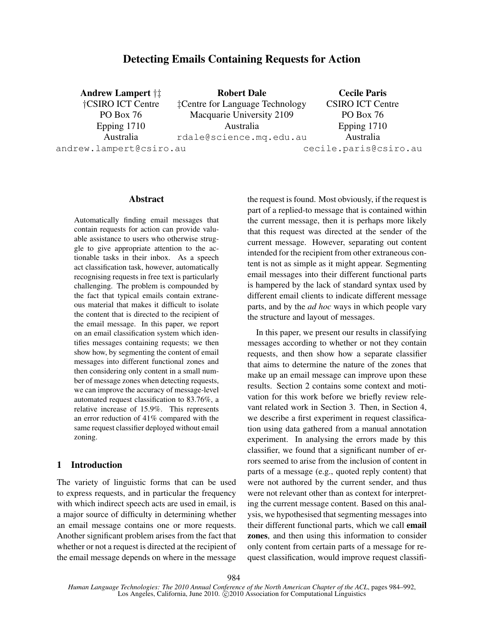# Detecting Emails Containing Requests for Action

Andrew Lampert †‡ †CSIRO ICT Centre PO Box 76 Epping 1710 Australia andrew.lampert@csiro.au Robert Dale ‡Centre for Language Technology Macquarie University 2109 Australia rdale@science.mq.edu.au Cecile Paris CSIRO ICT Centre PO Box 76 Epping 1710 Australia cecile.paris@csiro.au

### Abstract

Automatically finding email messages that contain requests for action can provide valuable assistance to users who otherwise struggle to give appropriate attention to the actionable tasks in their inbox. As a speech act classification task, however, automatically recognising requests in free text is particularly challenging. The problem is compounded by the fact that typical emails contain extraneous material that makes it difficult to isolate the content that is directed to the recipient of the email message. In this paper, we report on an email classification system which identifies messages containing requests; we then show how, by segmenting the content of email messages into different functional zones and then considering only content in a small number of message zones when detecting requests, we can improve the accuracy of message-level automated request classification to 83.76%, a relative increase of 15.9%. This represents an error reduction of 41% compared with the same request classifier deployed without email zoning.

# 1 Introduction

The variety of linguistic forms that can be used to express requests, and in particular the frequency with which indirect speech acts are used in email, is a major source of difficulty in determining whether an email message contains one or more requests. Another significant problem arises from the fact that whether or not a request is directed at the recipient of the email message depends on where in the message the request is found. Most obviously, if the request is part of a replied-to message that is contained within the current message, then it is perhaps more likely that this request was directed at the sender of the current message. However, separating out content intended for the recipient from other extraneous content is not as simple as it might appear. Segmenting email messages into their different functional parts is hampered by the lack of standard syntax used by different email clients to indicate different message parts, and by the *ad hoc* ways in which people vary the structure and layout of messages.

In this paper, we present our results in classifying messages according to whether or not they contain requests, and then show how a separate classifier that aims to determine the nature of the zones that make up an email message can improve upon these results. Section 2 contains some context and motivation for this work before we briefly review relevant related work in Section 3. Then, in Section 4, we describe a first experiment in request classification using data gathered from a manual annotation experiment. In analysing the errors made by this classifier, we found that a significant number of errors seemed to arise from the inclusion of content in parts of a message (e.g., quoted reply content) that were not authored by the current sender, and thus were not relevant other than as context for interpreting the current message content. Based on this analysis, we hypothesised that segmenting messages into their different functional parts, which we call email zones, and then using this information to consider only content from certain parts of a message for request classification, would improve request classifi-

*Human Language Technologies: The 2010 Annual Conference of the North American Chapter of the ACL*, pages 984–992, Los Angeles, California, June 2010. C 2010 Association for Computational Linguistics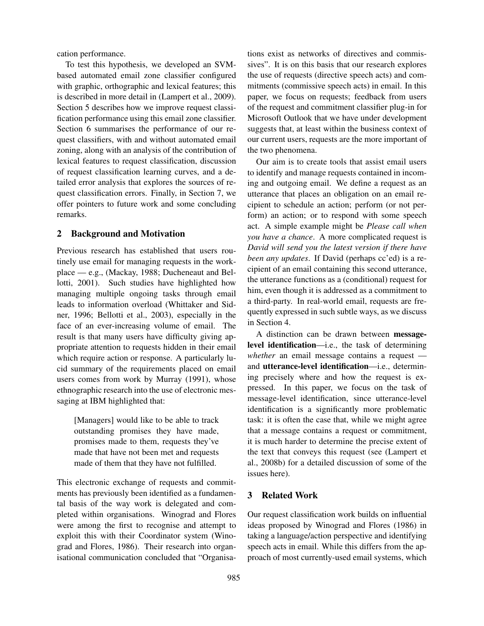cation performance.

To test this hypothesis, we developed an SVMbased automated email zone classifier configured with graphic, orthographic and lexical features; this is described in more detail in (Lampert et al., 2009). Section 5 describes how we improve request classification performance using this email zone classifier. Section 6 summarises the performance of our request classifiers, with and without automated email zoning, along with an analysis of the contribution of lexical features to request classification, discussion of request classification learning curves, and a detailed error analysis that explores the sources of request classification errors. Finally, in Section 7, we offer pointers to future work and some concluding remarks.

## 2 Background and Motivation

Previous research has established that users routinely use email for managing requests in the workplace — e.g., (Mackay, 1988; Ducheneaut and Bellotti, 2001). Such studies have highlighted how managing multiple ongoing tasks through email leads to information overload (Whittaker and Sidner, 1996; Bellotti et al., 2003), especially in the face of an ever-increasing volume of email. The result is that many users have difficulty giving appropriate attention to requests hidden in their email which require action or response. A particularly lucid summary of the requirements placed on email users comes from work by Murray (1991), whose ethnographic research into the use of electronic messaging at IBM highlighted that:

[Managers] would like to be able to track outstanding promises they have made, promises made to them, requests they've made that have not been met and requests made of them that they have not fulfilled.

This electronic exchange of requests and commitments has previously been identified as a fundamental basis of the way work is delegated and completed within organisations. Winograd and Flores were among the first to recognise and attempt to exploit this with their Coordinator system (Winograd and Flores, 1986). Their research into organisational communication concluded that "Organisations exist as networks of directives and commissives". It is on this basis that our research explores the use of requests (directive speech acts) and commitments (commissive speech acts) in email. In this paper, we focus on requests; feedback from users of the request and commitment classifier plug-in for Microsoft Outlook that we have under development suggests that, at least within the business context of our current users, requests are the more important of the two phenomena.

Our aim is to create tools that assist email users to identify and manage requests contained in incoming and outgoing email. We define a request as an utterance that places an obligation on an email recipient to schedule an action; perform (or not perform) an action; or to respond with some speech act. A simple example might be *Please call when you have a chance*. A more complicated request is *David will send you the latest version if there have been any updates*. If David (perhaps cc'ed) is a recipient of an email containing this second utterance, the utterance functions as a (conditional) request for him, even though it is addressed as a commitment to a third-party. In real-world email, requests are frequently expressed in such subtle ways, as we discuss in Section 4.

A distinction can be drawn between messagelevel identification—i.e., the task of determining *whether* an email message contains a request and utterance-level identification—i.e., determining precisely where and how the request is expressed. In this paper, we focus on the task of message-level identification, since utterance-level identification is a significantly more problematic task: it is often the case that, while we might agree that a message contains a request or commitment, it is much harder to determine the precise extent of the text that conveys this request (see (Lampert et al., 2008b) for a detailed discussion of some of the issues here).

# 3 Related Work

Our request classification work builds on influential ideas proposed by Winograd and Flores (1986) in taking a language/action perspective and identifying speech acts in email. While this differs from the approach of most currently-used email systems, which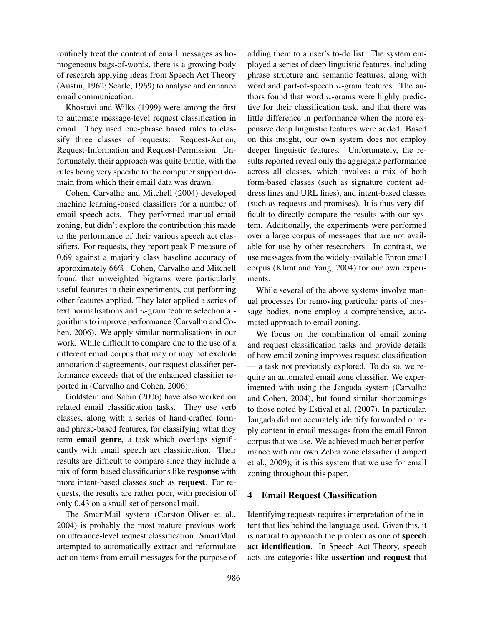routinely treat the content of email messages as homogeneous bags-of-words, there is a growing body of research applying ideas from Speech Act Theory (Austin, 1962; Searle, 1969) to analyse and enhance email communication.

Khosravi and Wilks (1999) were among the first to automate message-level request classification in email. They used cue-phrase based rules to classify three classes of requests: Request-Action, Request-Information and Request-Permission. Unfortunately, their approach was quite brittle, with the rules being very specific to the computer support domain from which their email data was drawn.

Cohen, Carvalho and Mitchell (2004) developed machine learning-based classifiers for a number of email speech acts. They performed manual email zoning, but didn't explore the contribution this made to the performance of their various speech act classifiers. For requests, they report peak F-measure of 0.69 against a majority class baseline accuracy of approximately 66%. Cohen, Carvalho and Mitchell found that unweighted bigrams were particularly useful features in their experiments, out-performing other features applied. They later applied a series of text normalisations and n-gram feature selection algorithms to improve performance (Carvalho and Cohen, 2006). We apply similar normalisations in our work. While difficult to compare due to the use of a different email corpus that may or may not exclude annotation disagreements, our request classifier performance exceeds that of the enhanced classifier reported in (Carvalho and Cohen, 2006).

Goldstein and Sabin (2006) have also worked on related email classification tasks. They use verb classes, along with a series of hand-crafted formand phrase-based features, for classifying what they term email genre, a task which overlaps significantly with email speech act classification. Their results are difficult to compare since they include a mix of form-based classifications like response with more intent-based classes such as request. For requests, the results are rather poor, with precision of only 0.43 on a small set of personal mail.

The SmartMail system (Corston-Oliver et al., 2004) is probably the most mature previous work on utterance-level request classification. SmartMail attempted to automatically extract and reformulate action items from email messages for the purpose of adding them to a user's to-do list. The system employed a series of deep linguistic features, including phrase structure and semantic features, along with word and part-of-speech n-gram features. The authors found that word  $n$ -grams were highly predictive for their classification task, and that there was little difference in performance when the more expensive deep linguistic features were added. Based on this insight, our own system does not employ deeper linguistic features. Unfortunately, the results reported reveal only the aggregate performance across all classes, which involves a mix of both form-based classes (such as signature content address lines and URL lines), and intent-based classes (such as requests and promises). It is thus very difficult to directly compare the results with our system. Additionally, the experiments were performed over a large corpus of messages that are not available for use by other researchers. In contrast, we use messages from the widely-available Enron email corpus (Klimt and Yang, 2004) for our own experiments.

While several of the above systems involve manual processes for removing particular parts of message bodies, none employ a comprehensive, automated approach to email zoning.

We focus on the combination of email zoning and request classification tasks and provide details of how email zoning improves request classification — a task not previously explored. To do so, we require an automated email zone classifier. We experimented with using the Jangada system (Carvalho and Cohen, 2004), but found similar shortcomings to those noted by Estival et al. (2007). In particular, Jangada did not accurately identify forwarded or reply content in email messages from the email Enron corpus that we use. We achieved much better performance with our own Zebra zone classifier (Lampert et al., 2009); it is this system that we use for email zoning throughout this paper.

# 4 Email Request Classification

Identifying requests requires interpretation of the intent that lies behind the language used. Given this, it is natural to approach the problem as one of speech act identification. In Speech Act Theory, speech acts are categories like assertion and request that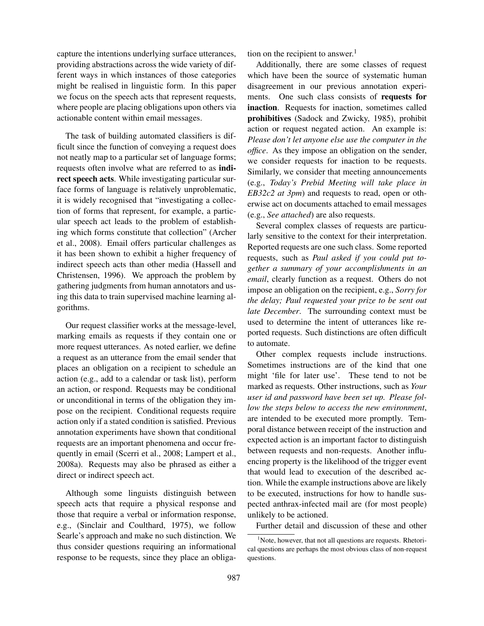capture the intentions underlying surface utterances, providing abstractions across the wide variety of different ways in which instances of those categories might be realised in linguistic form. In this paper we focus on the speech acts that represent requests, where people are placing obligations upon others via actionable content within email messages.

The task of building automated classifiers is difficult since the function of conveying a request does not neatly map to a particular set of language forms; requests often involve what are referred to as indirect speech acts. While investigating particular surface forms of language is relatively unproblematic, it is widely recognised that "investigating a collection of forms that represent, for example, a particular speech act leads to the problem of establishing which forms constitute that collection" (Archer et al., 2008). Email offers particular challenges as it has been shown to exhibit a higher frequency of indirect speech acts than other media (Hassell and Christensen, 1996). We approach the problem by gathering judgments from human annotators and using this data to train supervised machine learning algorithms.

Our request classifier works at the message-level, marking emails as requests if they contain one or more request utterances. As noted earlier, we define a request as an utterance from the email sender that places an obligation on a recipient to schedule an action (e.g., add to a calendar or task list), perform an action, or respond. Requests may be conditional or unconditional in terms of the obligation they impose on the recipient. Conditional requests require action only if a stated condition is satisfied. Previous annotation experiments have shown that conditional requests are an important phenomena and occur frequently in email (Scerri et al., 2008; Lampert et al., 2008a). Requests may also be phrased as either a direct or indirect speech act.

Although some linguists distinguish between speech acts that require a physical response and those that require a verbal or information response, e.g., (Sinclair and Coulthard, 1975), we follow Searle's approach and make no such distinction. We thus consider questions requiring an informational response to be requests, since they place an obligation on the recipient to answer.<sup>1</sup>

Additionally, there are some classes of request which have been the source of systematic human disagreement in our previous annotation experiments. One such class consists of requests for inaction. Requests for inaction, sometimes called prohibitives (Sadock and Zwicky, 1985), prohibit action or request negated action. An example is: *Please don't let anyone else use the computer in the office*. As they impose an obligation on the sender, we consider requests for inaction to be requests. Similarly, we consider that meeting announcements (e.g., *Today's Prebid Meeting will take place in EB32c2 at 3pm*) and requests to read, open or otherwise act on documents attached to email messages (e.g., *See attached*) are also requests.

Several complex classes of requests are particularly sensitive to the context for their interpretation. Reported requests are one such class. Some reported requests, such as *Paul asked if you could put together a summary of your accomplishments in an email*, clearly function as a request. Others do not impose an obligation on the recipient, e.g., *Sorry for the delay; Paul requested your prize to be sent out late December*. The surrounding context must be used to determine the intent of utterances like reported requests. Such distinctions are often difficult to automate.

Other complex requests include instructions. Sometimes instructions are of the kind that one might 'file for later use'. These tend to not be marked as requests. Other instructions, such as *Your user id and password have been set up. Please follow the steps below to access the new environment*, are intended to be executed more promptly. Temporal distance between receipt of the instruction and expected action is an important factor to distinguish between requests and non-requests. Another influencing property is the likelihood of the trigger event that would lead to execution of the described action. While the example instructions above are likely to be executed, instructions for how to handle suspected anthrax-infected mail are (for most people) unlikely to be actioned.

Further detail and discussion of these and other

 $<sup>1</sup>$ Note, however, that not all questions are requests. Rhetori-</sup> cal questions are perhaps the most obvious class of non-request questions.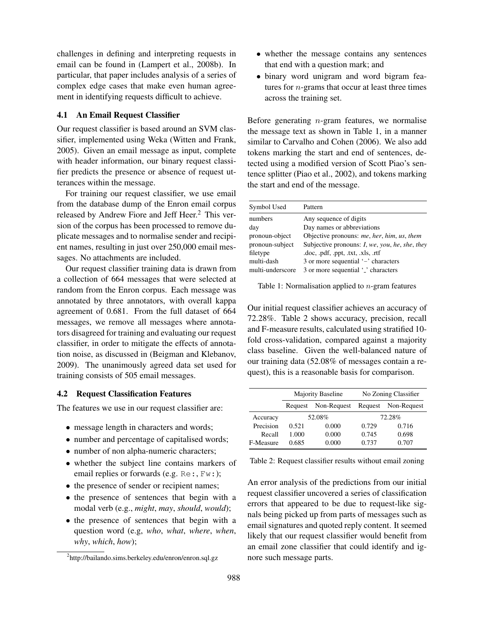challenges in defining and interpreting requests in email can be found in (Lampert et al., 2008b). In particular, that paper includes analysis of a series of complex edge cases that make even human agreement in identifying requests difficult to achieve.

## 4.1 An Email Request Classifier

Our request classifier is based around an SVM classifier, implemented using Weka (Witten and Frank, 2005). Given an email message as input, complete with header information, our binary request classifier predicts the presence or absence of request utterances within the message.

For training our request classifier, we use email from the database dump of the Enron email corpus released by Andrew Fiore and Jeff Heer.<sup>2</sup> This version of the corpus has been processed to remove duplicate messages and to normalise sender and recipient names, resulting in just over 250,000 email messages. No attachments are included.

Our request classifier training data is drawn from a collection of 664 messages that were selected at random from the Enron corpus. Each message was annotated by three annotators, with overall kappa agreement of 0.681. From the full dataset of 664 messages, we remove all messages where annotators disagreed for training and evaluating our request classifier, in order to mitigate the effects of annotation noise, as discussed in (Beigman and Klebanov, 2009). The unanimously agreed data set used for training consists of 505 email messages.

### 4.2 Request Classification Features

The features we use in our request classifier are:

- message length in characters and words;
- number and percentage of capitalised words;
- number of non alpha-numeric characters;
- whether the subject line contains markers of email replies or forwards (e.g. Re:, Fw:);
- the presence of sender or recipient names;
- the presence of sentences that begin with a modal verb (e.g., *might*, *may*, *should*, *would*);
- the presence of sentences that begin with a question word (e.g, *who*, *what*, *where*, *when*, *why*, *which*, *how*);
- whether the message contains any sentences that end with a question mark; and
- binary word unigram and word bigram features for  $n$ -grams that occur at least three times across the training set.

Before generating  $n$ -gram features, we normalise the message text as shown in Table 1, in a manner similar to Carvalho and Cohen (2006). We also add tokens marking the start and end of sentences, detected using a modified version of Scott Piao's sentence splitter (Piao et al., 2002), and tokens marking the start and end of the message.

| Symbol Used      | Pattern                                                |
|------------------|--------------------------------------------------------|
| numbers          | Any sequence of digits                                 |
| day              | Day names or abbreviations                             |
| pronoun-object   | Objective pronouns: me, her, him, us, them             |
| pronoun-subject  | Subjective pronouns: <i>I</i> , we, you, he, she, they |
| filetype         | .doc, .pdf, .ppt, .txt, .xls, .rtf                     |
| multi-dash       | 3 or more sequential '-' characters                    |
| multi-underscore | 3 or more sequential ' <sub>c</sub> ' characters       |
|                  |                                                        |

Table 1: Normalisation applied to  $n$ -gram features

Our initial request classifier achieves an accuracy of 72.28%. Table 2 shows accuracy, precision, recall and F-measure results, calculated using stratified 10 fold cross-validation, compared against a majority class baseline. Given the well-balanced nature of our training data (52.08% of messages contain a request), this is a reasonable basis for comparison.

|           | Majority Baseline |             | No Zoning Classifier |             |
|-----------|-------------------|-------------|----------------------|-------------|
|           | Request           | Non-Request | Request              | Non-Request |
| Accuracy  | 52.08%            |             | 72.28%               |             |
| Precision | 0.521             | 0.000       | 0.729                | 0.716       |
| Recall    | 1.000             | 0.000       | 0.745                | 0.698       |
| F-Measure | 0.685             | 0.000       | 0.737                | 0.707       |

Table 2: Request classifier results without email zoning

An error analysis of the predictions from our initial request classifier uncovered a series of classification errors that appeared to be due to request-like signals being picked up from parts of messages such as email signatures and quoted reply content. It seemed likely that our request classifier would benefit from an email zone classifier that could identify and ignore such message parts.

<sup>2</sup> http://bailando.sims.berkeley.edu/enron/enron.sql.gz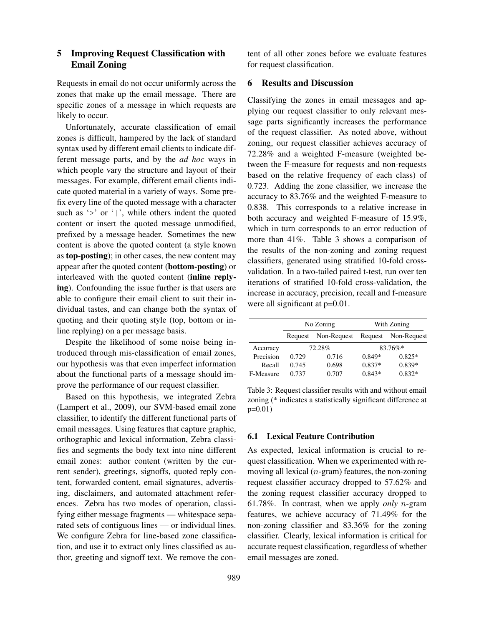# 5 Improving Request Classification with Email Zoning

Requests in email do not occur uniformly across the zones that make up the email message. There are specific zones of a message in which requests are likely to occur.

Unfortunately, accurate classification of email zones is difficult, hampered by the lack of standard syntax used by different email clients to indicate different message parts, and by the *ad hoc* ways in which people vary the structure and layout of their messages. For example, different email clients indicate quoted material in a variety of ways. Some prefix every line of the quoted message with a character such as ' $>$ ' or '|', while others indent the quoted content or insert the quoted message unmodified, prefixed by a message header. Sometimes the new content is above the quoted content (a style known as top-posting); in other cases, the new content may appear after the quoted content (bottom-posting) or interleaved with the quoted content (inline replying). Confounding the issue further is that users are able to configure their email client to suit their individual tastes, and can change both the syntax of quoting and their quoting style (top, bottom or inline replying) on a per message basis.

Despite the likelihood of some noise being introduced through mis-classification of email zones, our hypothesis was that even imperfect information about the functional parts of a message should improve the performance of our request classifier.

Based on this hypothesis, we integrated Zebra (Lampert et al., 2009), our SVM-based email zone classifier, to identify the different functional parts of email messages. Using features that capture graphic, orthographic and lexical information, Zebra classifies and segments the body text into nine different email zones: author content (written by the current sender), greetings, signoffs, quoted reply content, forwarded content, email signatures, advertising, disclaimers, and automated attachment references. Zebra has two modes of operation, classifying either message fragments — whitespace separated sets of contiguous lines — or individual lines. We configure Zebra for line-based zone classification, and use it to extract only lines classified as author, greeting and signoff text. We remove the content of all other zones before we evaluate features for request classification.

### 6 Results and Discussion

Classifying the zones in email messages and applying our request classifier to only relevant message parts significantly increases the performance of the request classifier. As noted above, without zoning, our request classifier achieves accuracy of 72.28% and a weighted F-measure (weighted between the F-measure for requests and non-requests based on the relative frequency of each class) of 0.723. Adding the zone classifier, we increase the accuracy to 83.76% and the weighted F-measure to 0.838. This corresponds to a relative increase in both accuracy and weighted F-measure of 15.9%, which in turn corresponds to an error reduction of more than 41%. Table 3 shows a comparison of the results of the non-zoning and zoning request classifiers, generated using stratified 10-fold crossvalidation. In a two-tailed paired t-test, run over ten iterations of stratified 10-fold cross-validation, the increase in accuracy, precision, recall and f-measure were all significant at  $p=0.01$ .

|           | No Zoning |             | With Zoning |             |
|-----------|-----------|-------------|-------------|-------------|
|           | Request   | Non-Request | Request     | Non-Request |
| Accuracy  |           | 72.28%      |             | $83.76\%*$  |
| Precision | 0.729     | 0.716       | $0.849*$    | $0.825*$    |
| Recall    | 0.745     | 0.698       | $0.837*$    | $0.839*$    |
| F-Measure | 0.737     | 0.707       | $0.843*$    | $0.832*$    |

Table 3: Request classifier results with and without email zoning (\* indicates a statistically significant difference at p=0.01)

### 6.1 Lexical Feature Contribution

As expected, lexical information is crucial to request classification. When we experimented with removing all lexical  $(n$ -gram) features, the non-zoning request classifier accuracy dropped to 57.62% and the zoning request classifier accuracy dropped to 61.78%. In contrast, when we apply *only* n-gram features, we achieve accuracy of 71.49% for the non-zoning classifier and 83.36% for the zoning classifier. Clearly, lexical information is critical for accurate request classification, regardless of whether email messages are zoned.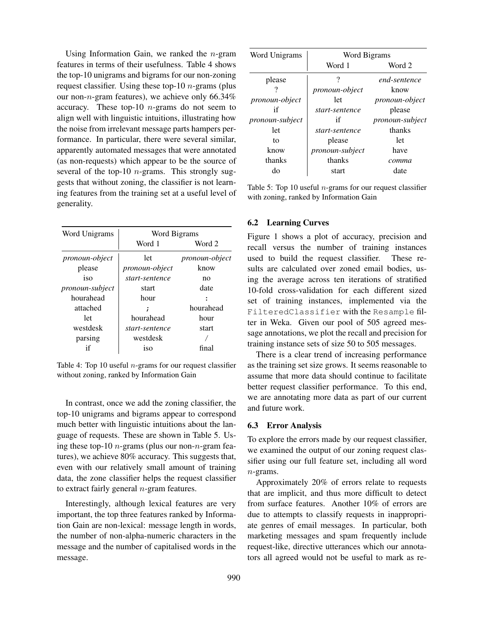Using Information Gain, we ranked the  $n$ -gram features in terms of their usefulness. Table 4 shows the top-10 unigrams and bigrams for our non-zoning request classifier. Using these top-10  $n$ -grams (plus our non-n-gram features), we achieve only  $66.34\%$ accuracy. These top-10  $n$ -grams do not seem to align well with linguistic intuitions, illustrating how the noise from irrelevant message parts hampers performance. In particular, there were several similar, apparently automated messages that were annotated (as non-requests) which appear to be the source of several of the top-10  $n$ -grams. This strongly suggests that without zoning, the classifier is not learning features from the training set at a useful level of generality.

| Word Unigrams          | Word Bigrams          |                       |  |
|------------------------|-----------------------|-----------------------|--|
|                        | Word 1                | Word 2                |  |
| <i>pronoun-object</i>  | let                   | <i>pronoun-object</i> |  |
| please                 | <i>pronoun-object</i> | know                  |  |
| iso                    | start-sentence        | no                    |  |
| <i>pronoun-subject</i> | start                 | date                  |  |
| hourahead              | hour                  |                       |  |
| attached               |                       | hourahead             |  |
| let                    | hourahead             | hour                  |  |
| westdesk               | start-sentence        | start                 |  |
| parsing                | westdesk              |                       |  |
|                        | <sub>iso</sub>        | final                 |  |

Table 4: Top 10 useful  $n$ -grams for our request classifier without zoning, ranked by Information Gain

In contrast, once we add the zoning classifier, the top-10 unigrams and bigrams appear to correspond much better with linguistic intuitions about the language of requests. These are shown in Table 5. Using these top-10 *n*-grams (plus our non-*n*-gram features), we achieve 80% accuracy. This suggests that, even with our relatively small amount of training data, the zone classifier helps the request classifier to extract fairly general  $n$ -gram features.

Interestingly, although lexical features are very important, the top three features ranked by Information Gain are non-lexical: message length in words, the number of non-alpha-numeric characters in the message and the number of capitalised words in the message.

| Word Unigrams          | Word Bigrams          |                        |  |
|------------------------|-----------------------|------------------------|--|
|                        | Word 1                | Word 2                 |  |
| please                 | ?                     | end-sentence           |  |
|                        | <i>pronoun-object</i> | know                   |  |
| <i>pronoun-object</i>  | 1et                   | <i>pronoun-object</i>  |  |
| if                     | start-sentence        | please                 |  |
| <i>pronoun-subject</i> | if                    | <i>pronoun-subject</i> |  |
| let                    | start-sentence        | thanks                 |  |
| tο                     | please                | let                    |  |
| know                   | pronoun-subject       | have                   |  |
| thanks                 | thanks                | сотта                  |  |
| do                     | start                 | date                   |  |

Table 5: Top 10 useful  $n$ -grams for our request classifier with zoning, ranked by Information Gain

#### 6.2 Learning Curves

Figure 1 shows a plot of accuracy, precision and recall versus the number of training instances used to build the request classifier. These results are calculated over zoned email bodies, using the average across ten iterations of stratified 10-fold cross-validation for each different sized set of training instances, implemented via the FilteredClassifier with the Resample filter in Weka. Given our pool of 505 agreed message annotations, we plot the recall and precision for training instance sets of size 50 to 505 messages.

There is a clear trend of increasing performance as the training set size grows. It seems reasonable to assume that more data should continue to facilitate better request classifier performance. To this end, we are annotating more data as part of our current and future work.

### 6.3 Error Analysis

To explore the errors made by our request classifier, we examined the output of our zoning request classifier using our full feature set, including all word n-grams.

Approximately 20% of errors relate to requests that are implicit, and thus more difficult to detect from surface features. Another 10% of errors are due to attempts to classify requests in inappropriate genres of email messages. In particular, both marketing messages and spam frequently include request-like, directive utterances which our annotators all agreed would not be useful to mark as re-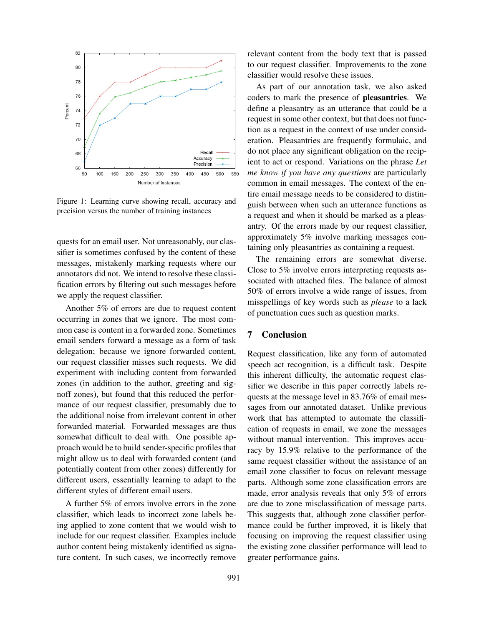

Figure 1: Learning curve showing recall, accuracy and precision versus the number of training instances

quests for an email user. Not unreasonably, our classifier is sometimes confused by the content of these messages, mistakenly marking requests where our annotators did not. We intend to resolve these classification errors by filtering out such messages before we apply the request classifier.

Another 5% of errors are due to request content occurring in zones that we ignore. The most common case is content in a forwarded zone. Sometimes email senders forward a message as a form of task delegation; because we ignore forwarded content, our request classifier misses such requests. We did experiment with including content from forwarded zones (in addition to the author, greeting and signoff zones), but found that this reduced the performance of our request classifier, presumably due to the additional noise from irrelevant content in other forwarded material. Forwarded messages are thus somewhat difficult to deal with. One possible approach would be to build sender-specific profiles that might allow us to deal with forwarded content (and potentially content from other zones) differently for different users, essentially learning to adapt to the different styles of different email users.

A further 5% of errors involve errors in the zone classifier, which leads to incorrect zone labels being applied to zone content that we would wish to include for our request classifier. Examples include author content being mistakenly identified as signature content. In such cases, we incorrectly remove relevant content from the body text that is passed to our request classifier. Improvements to the zone classifier would resolve these issues.

As part of our annotation task, we also asked coders to mark the presence of pleasantries. We define a pleasantry as an utterance that could be a request in some other context, but that does not function as a request in the context of use under consideration. Pleasantries are frequently formulaic, and do not place any significant obligation on the recipient to act or respond. Variations on the phrase *Let me know if you have any questions* are particularly common in email messages. The context of the entire email message needs to be considered to distinguish between when such an utterance functions as a request and when it should be marked as a pleasantry. Of the errors made by our request classifier, approximately 5% involve marking messages containing only pleasantries as containing a request.

The remaining errors are somewhat diverse. Close to 5% involve errors interpreting requests associated with attached files. The balance of almost 50% of errors involve a wide range of issues, from misspellings of key words such as *please* to a lack of punctuation cues such as question marks.

## 7 Conclusion

Request classification, like any form of automated speech act recognition, is a difficult task. Despite this inherent difficulty, the automatic request classifier we describe in this paper correctly labels requests at the message level in 83.76% of email messages from our annotated dataset. Unlike previous work that has attempted to automate the classification of requests in email, we zone the messages without manual intervention. This improves accuracy by 15.9% relative to the performance of the same request classifier without the assistance of an email zone classifier to focus on relevant message parts. Although some zone classification errors are made, error analysis reveals that only 5% of errors are due to zone misclassification of message parts. This suggests that, although zone classifier performance could be further improved, it is likely that focusing on improving the request classifier using the existing zone classifier performance will lead to greater performance gains.